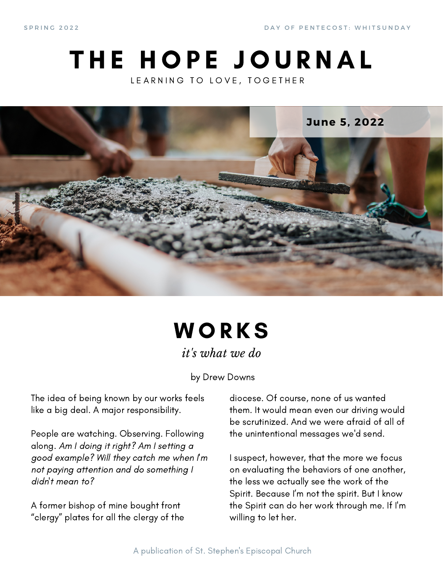S P R I N G 2 0 2 2 D A Y O F P E N T E C O S T : W H I T S U N D A Y

### THE HOPE JOURNAL LEARNING TO LOVE, TOGETHER



# **WORKS**

*it's what we do*

by Drew Downs

The idea of being known by our works feels like a big deal. A major responsibility.

People are watching. Observing. Following along. Am I doing it right? Am I setting a good example? Will they catch me when I'm not paying attention and do something I didn't mean to?

A former bishop of mine bought front "clergy" plates for all the clergy of the

diocese. Of course, none of us wanted them. It would mean even our driving would be scrutinized. And we were afraid of all of the unintentional messages we'd send.

I suspect, however, that the more we focus on evaluating the behaviors of one another, the less we actually see the work of the Spirit. Because I'm not the spirit. But I know the Spirit can do her work through me. If I'm willing to let her.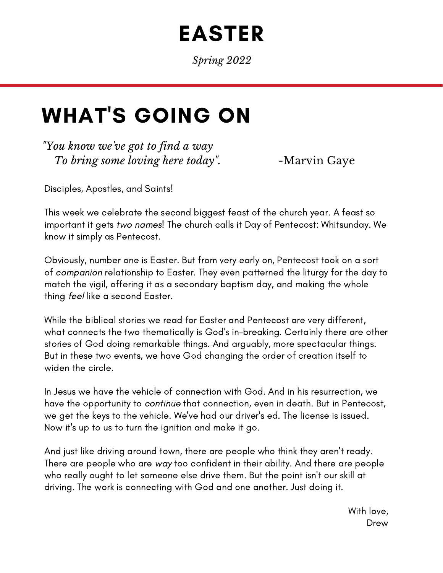# EASTER

*Spring 2022*

### WHAT'S GOING ON

*"You know we've got to find a way To bring some loving here today*". -Marvin Gaye

Disciples, Apostles, and Saints!

This week we celebrate the second biggest feast of the church year. A feast so important it gets two names! The church calls it Day of Pentecost: Whitsunday. We know it simply as Pentecost.

Obviously, number one is Easter. But from very early on, Pentecost took on a sort of companion relationship to Easter. They even patterned the liturgy for the day to match the vigil, offering it as a secondary baptism day, and making the whole thing feel like a second Easter.

While the biblical stories we read for Easter and Pentecost are very different, what connects the two thematically is God's in-breaking. Certainly there are other stories of God doing remarkable things. And arguably, more spectacular things. But in these two events, we have God changing the order of creation itself to widen the circle.

In Jesus we have the vehicle of connection with God. And in his resurrection, we have the opportunity to continue that connection, even in death. But in Pentecost, we get the keys to the vehicle. We've had our driver's ed. The license is issued. Now it's up to us to turn the ignition and make it go.

And just like driving around town, there are people who think they aren't ready. There are people who are way too confident in their ability. And there are people who really ought to let someone else drive them. But the point isn't our skill at driving. The work is connecting with God and one another. Just doing it.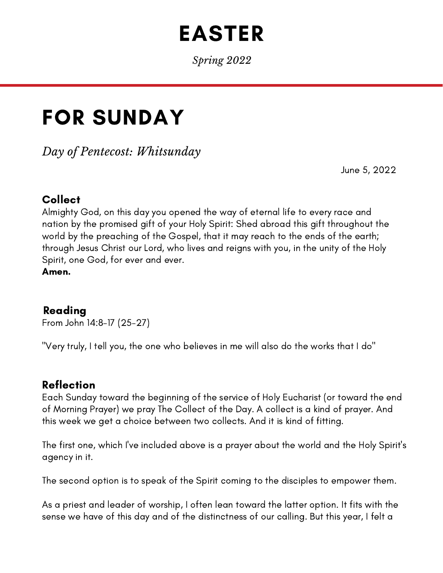## EASTER

*Spring 2022*

# FOR SUNDAY

*Day of Pentecost: Whitsunday*

June 5, 2022

#### Collect

Almighty God, on this day you opened the way of eternal life to every race and nation by the promised gift of your Holy Spirit: Shed abroad this gift throughout the world by the preaching of the Gospel, that it may reach to the ends of the earth; through Jesus Christ our Lord, who lives and reigns with you, in the unity of the Holy Spirit, one God, for ever and ever.

Amen.

#### Reading

From John 14:8-17 (25-27)

"Very truly, I tell you, the one who believes in me will also do the works that I do"

#### Reflection

Each Sunday toward the beginning of the service of Holy Eucharist (or toward the end of Morning Prayer) we pray The Collect of the Day. A collect is a kind of prayer. And this week we get a choice between two collects. And it is kind of fitting.

The first one, which I've included above is a prayer about the world and the Holy Spirit's agency in it.

The second option is to speak of the Spirit coming to the disciples to empower them.

As a priest and leader of worship, I often lean toward the latter option. It fits with the sense we have of this day and of the distinctness of our calling. But this year, I felt a